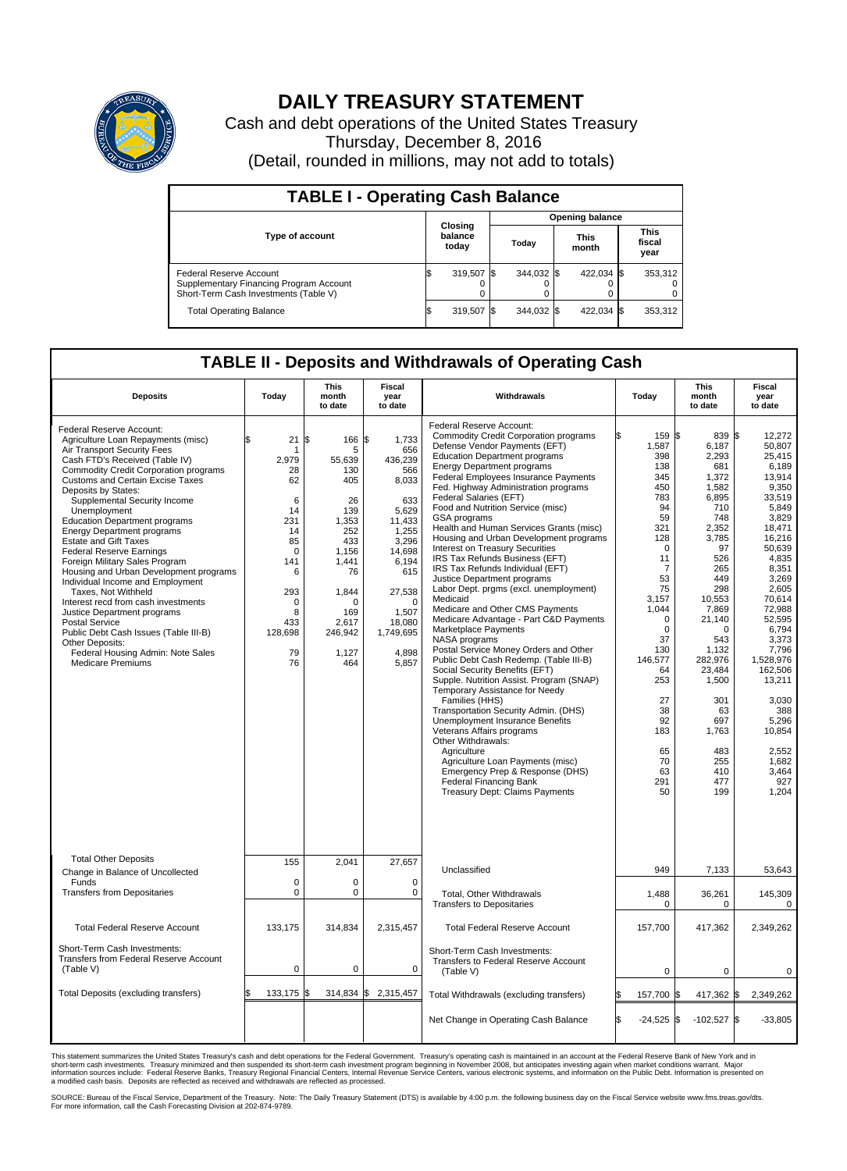

## **DAILY TREASURY STATEMENT**

Cash and debt operations of the United States Treasury Thursday, December 8, 2016 (Detail, rounded in millions, may not add to totals)

| <b>TABLE I - Operating Cash Balance</b>                                                                                                       |  |                             |                        |                          |  |                          |  |                               |  |
|-----------------------------------------------------------------------------------------------------------------------------------------------|--|-----------------------------|------------------------|--------------------------|--|--------------------------|--|-------------------------------|--|
|                                                                                                                                               |  |                             | <b>Opening balance</b> |                          |  |                          |  |                               |  |
| <b>Type of account</b>                                                                                                                        |  | Closing<br>balance<br>today |                        | Today                    |  | <b>This</b><br>month     |  | <b>This</b><br>fiscal<br>year |  |
| Federal Reserve Account<br>Supplementary Financing Program Account<br>Short-Term Cash Investments (Table V)<br><b>Total Operating Balance</b> |  | 319,507 \$<br>319,507 \$    |                        | 344,032 \$<br>344.032 \$ |  | 422,034 \$<br>422,034 \$ |  | 353,312<br>353,312            |  |

## **TABLE II - Deposits and Withdrawals of Operating Cash**

| <b>Deposits</b>                                                                                                                                                                                                                                                                                                                                                                                                                                                                                                                                                                                                                                                                                                                                                                                               | Today                                                                                                                                      | <b>This</b><br>month<br>to date                                                                                                                                | <b>Fiscal</b><br>year<br>to date                                                                                                                                                         | Withdrawals                                                                                                                                                                                                                                                                                                                                                                                                                                                                                                                                                                                                                                                                                                                                                                                                                                                                                                                                                                                                                                                                                                                                                                                                                                                                              | Today                                                                                                                                                                                                                                                                        | <b>This</b><br>month<br>to date                                                                                                                                                                                                                                                     | Fiscal<br>year<br>to date                                                                                                                                                                                                                                                                                                     |
|---------------------------------------------------------------------------------------------------------------------------------------------------------------------------------------------------------------------------------------------------------------------------------------------------------------------------------------------------------------------------------------------------------------------------------------------------------------------------------------------------------------------------------------------------------------------------------------------------------------------------------------------------------------------------------------------------------------------------------------------------------------------------------------------------------------|--------------------------------------------------------------------------------------------------------------------------------------------|----------------------------------------------------------------------------------------------------------------------------------------------------------------|------------------------------------------------------------------------------------------------------------------------------------------------------------------------------------------|------------------------------------------------------------------------------------------------------------------------------------------------------------------------------------------------------------------------------------------------------------------------------------------------------------------------------------------------------------------------------------------------------------------------------------------------------------------------------------------------------------------------------------------------------------------------------------------------------------------------------------------------------------------------------------------------------------------------------------------------------------------------------------------------------------------------------------------------------------------------------------------------------------------------------------------------------------------------------------------------------------------------------------------------------------------------------------------------------------------------------------------------------------------------------------------------------------------------------------------------------------------------------------------|------------------------------------------------------------------------------------------------------------------------------------------------------------------------------------------------------------------------------------------------------------------------------|-------------------------------------------------------------------------------------------------------------------------------------------------------------------------------------------------------------------------------------------------------------------------------------|-------------------------------------------------------------------------------------------------------------------------------------------------------------------------------------------------------------------------------------------------------------------------------------------------------------------------------|
| Federal Reserve Account:<br>Agriculture Loan Repayments (misc)<br>Air Transport Security Fees<br>Cash FTD's Received (Table IV)<br><b>Commodity Credit Corporation programs</b><br><b>Customs and Certain Excise Taxes</b><br>Deposits by States:<br>Supplemental Security Income<br>Unemployment<br><b>Education Department programs</b><br><b>Energy Department programs</b><br><b>Estate and Gift Taxes</b><br><b>Federal Reserve Earnings</b><br>Foreign Military Sales Program<br>Housing and Urban Development programs<br>Individual Income and Employment<br>Taxes. Not Withheld<br>Interest recd from cash investments<br>Justice Department programs<br>Postal Service<br>Public Debt Cash Issues (Table III-B)<br>Other Deposits:<br>Federal Housing Admin: Note Sales<br><b>Medicare Premiums</b> | \$<br>21<br>1<br>2.979<br>28<br>62<br>6<br>14<br>231<br>14<br>85<br>$\mathbf 0$<br>141<br>6<br>293<br>0<br>8<br>433<br>128,698<br>79<br>76 | \$<br>166 \$<br>5<br>55,639<br>130<br>405<br>26<br>139<br>1,353<br>252<br>433<br>1,156<br>1.441<br>76<br>1,844<br>O<br>169<br>2,617<br>246,942<br>1,127<br>464 | 1,733<br>656<br>436,239<br>566<br>8,033<br>633<br>5,629<br>11,433<br>1.255<br>3,296<br>14,698<br>6.194<br>615<br>27,538<br>$\mathbf 0$<br>1,507<br>18,080<br>1,749,695<br>4,898<br>5,857 | Federal Reserve Account:<br><b>Commodity Credit Corporation programs</b><br>Defense Vendor Payments (EFT)<br><b>Education Department programs</b><br><b>Energy Department programs</b><br>Federal Employees Insurance Payments<br>Fed. Highway Administration programs<br>Federal Salaries (EFT)<br>Food and Nutrition Service (misc)<br>GSA programs<br>Health and Human Services Grants (misc)<br>Housing and Urban Development programs<br><b>Interest on Treasury Securities</b><br>IRS Tax Refunds Business (EFT)<br>IRS Tax Refunds Individual (EFT)<br>Justice Department programs<br>Labor Dept. prgms (excl. unemployment)<br>Medicaid<br>Medicare and Other CMS Payments<br>Medicare Advantage - Part C&D Payments<br>Marketplace Payments<br>NASA programs<br>Postal Service Money Orders and Other<br>Public Debt Cash Redemp. (Table III-B)<br>Social Security Benefits (EFT)<br>Supple. Nutrition Assist. Program (SNAP)<br>Temporary Assistance for Needy<br>Families (HHS)<br>Transportation Security Admin. (DHS)<br>Unemployment Insurance Benefits<br>Veterans Affairs programs<br>Other Withdrawals:<br>Agriculture<br>Agriculture Loan Payments (misc)<br>Emergency Prep & Response (DHS)<br><b>Federal Financing Bank</b><br><b>Treasury Dept: Claims Payments</b> | 159 \$<br>1,587<br>398<br>138<br>345<br>450<br>783<br>94<br>59<br>321<br>128<br>$\mathbf 0$<br>11<br>$\overline{7}$<br>53<br>75<br>3.157<br>1,044<br>$\mathbf 0$<br>$\mathbf 0$<br>37<br>130<br>146,577<br>64<br>253<br>27<br>38<br>92<br>183<br>65<br>70<br>63<br>291<br>50 | 839 \$<br>6,187<br>2,293<br>681<br>1,372<br>1,582<br>6,895<br>710<br>748<br>2,352<br>3,785<br>97<br>526<br>265<br>449<br>298<br>10.553<br>7,869<br>21,140<br>$\Omega$<br>543<br>1,132<br>282,976<br>23,484<br>1,500<br>301<br>63<br>697<br>1,763<br>483<br>255<br>410<br>477<br>199 | 12,272<br>50,807<br>25,415<br>6,189<br>13,914<br>9,350<br>33,519<br>5.849<br>3,829<br>18.471<br>16,216<br>50,639<br>4,835<br>8,351<br>3,269<br>2,605<br>70.614<br>72.988<br>52,595<br>6,794<br>3.373<br>7,796<br>1,528,976<br>162,506<br>13,211<br>3,030<br>388<br>5,296<br>10,854<br>2,552<br>1,682<br>3,464<br>927<br>1,204 |
| <b>Total Other Deposits</b><br>Change in Balance of Uncollected                                                                                                                                                                                                                                                                                                                                                                                                                                                                                                                                                                                                                                                                                                                                               | 155                                                                                                                                        | 2,041                                                                                                                                                          | 27,657                                                                                                                                                                                   | Unclassified                                                                                                                                                                                                                                                                                                                                                                                                                                                                                                                                                                                                                                                                                                                                                                                                                                                                                                                                                                                                                                                                                                                                                                                                                                                                             | 949                                                                                                                                                                                                                                                                          | 7,133                                                                                                                                                                                                                                                                               | 53,643                                                                                                                                                                                                                                                                                                                        |
| Funds<br><b>Transfers from Depositaries</b>                                                                                                                                                                                                                                                                                                                                                                                                                                                                                                                                                                                                                                                                                                                                                                   | $\mathbf 0$<br>$\mathbf 0$<br>$\Omega$<br>$\mathbf 0$<br>0<br>0<br>Total, Other Withdrawals                                                |                                                                                                                                                                |                                                                                                                                                                                          | <b>Transfers to Depositaries</b>                                                                                                                                                                                                                                                                                                                                                                                                                                                                                                                                                                                                                                                                                                                                                                                                                                                                                                                                                                                                                                                                                                                                                                                                                                                         | 1,488<br>$\mathbf 0$                                                                                                                                                                                                                                                         | 36,261<br>$\mathbf 0$                                                                                                                                                                                                                                                               | 145,309<br>$\mathbf 0$                                                                                                                                                                                                                                                                                                        |
| <b>Total Federal Reserve Account</b>                                                                                                                                                                                                                                                                                                                                                                                                                                                                                                                                                                                                                                                                                                                                                                          | 133.175                                                                                                                                    | 314,834                                                                                                                                                        | 2,315,457                                                                                                                                                                                | <b>Total Federal Reserve Account</b>                                                                                                                                                                                                                                                                                                                                                                                                                                                                                                                                                                                                                                                                                                                                                                                                                                                                                                                                                                                                                                                                                                                                                                                                                                                     | 157,700                                                                                                                                                                                                                                                                      | 417,362                                                                                                                                                                                                                                                                             | 2,349,262                                                                                                                                                                                                                                                                                                                     |
| Short-Term Cash Investments:<br><b>Transfers from Federal Reserve Account</b><br>(Table V)                                                                                                                                                                                                                                                                                                                                                                                                                                                                                                                                                                                                                                                                                                                    | $\mathbf 0$                                                                                                                                | 0                                                                                                                                                              | 0                                                                                                                                                                                        | Short-Term Cash Investments:<br>Transfers to Federal Reserve Account<br>(Table V)                                                                                                                                                                                                                                                                                                                                                                                                                                                                                                                                                                                                                                                                                                                                                                                                                                                                                                                                                                                                                                                                                                                                                                                                        | $\mathbf 0$                                                                                                                                                                                                                                                                  | $\mathbf 0$                                                                                                                                                                                                                                                                         | 0                                                                                                                                                                                                                                                                                                                             |
| Total Deposits (excluding transfers)                                                                                                                                                                                                                                                                                                                                                                                                                                                                                                                                                                                                                                                                                                                                                                          | 133,175                                                                                                                                    | 314,834<br>\$                                                                                                                                                  | \$<br>2,315,457                                                                                                                                                                          | Total Withdrawals (excluding transfers)                                                                                                                                                                                                                                                                                                                                                                                                                                                                                                                                                                                                                                                                                                                                                                                                                                                                                                                                                                                                                                                                                                                                                                                                                                                  | 157,700 \$                                                                                                                                                                                                                                                                   | 417,362 \$                                                                                                                                                                                                                                                                          | 2,349,262                                                                                                                                                                                                                                                                                                                     |
|                                                                                                                                                                                                                                                                                                                                                                                                                                                                                                                                                                                                                                                                                                                                                                                                               |                                                                                                                                            |                                                                                                                                                                |                                                                                                                                                                                          | Net Change in Operating Cash Balance                                                                                                                                                                                                                                                                                                                                                                                                                                                                                                                                                                                                                                                                                                                                                                                                                                                                                                                                                                                                                                                                                                                                                                                                                                                     | l\$<br>$-24,525$ \$                                                                                                                                                                                                                                                          | $-102,527$ \$                                                                                                                                                                                                                                                                       | $-33,805$                                                                                                                                                                                                                                                                                                                     |

This statement summarizes the United States Treasury's cash and debt operations for the Federal Government. Treasury's operating cash is maintained in an account at the Federal Reserve Bank of New York and in<br>short-term ca

SOURCE: Bureau of the Fiscal Service, Department of the Treasury. Note: The Daily Treasury Statement (DTS) is available by 4:00 p.m. the following business day on the Fiscal Service website www.fms.treas.gov/dts.<br>For more